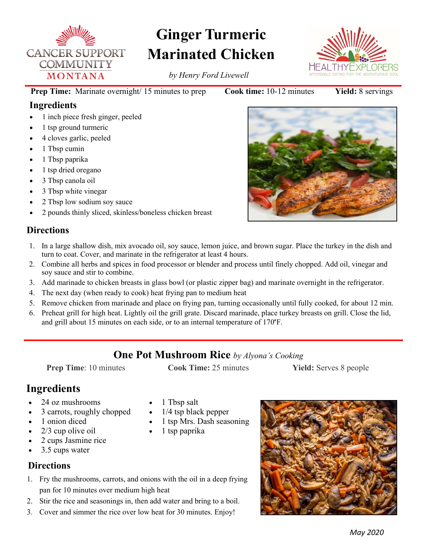

# **Ginger Turmeric Marinated Chicken**

*by Henry Ford Livewell*

**Prep Time:** Marinate overnight/ 15 minutes to prep **Cook time:** 10-12 minutes **Yield:** 8 servings

### **Ingredients**

- 1 inch piece fresh ginger, peeled
- 1 tsp ground turmeric
- 4 cloves garlic, peeled
- 1 Tbsp cumin
- 1 Tbsp paprika
- 1 tsp dried oregano
- 3 Tbsp canola oil
- 3 Tbsp white vinegar
- 2 Tbsp low sodium soy sauce
- 2 pounds thinly sliced, skinless/boneless chicken breast

### **Directions**

- 1. In a large shallow dish, mix avocado oil, soy sauce, lemon juice, and brown sugar. Place the turkey in the dish and turn to coat. Cover, and marinate in the refrigerator at least 4 hours.
- 2. Combine all herbs and spices in food processor or blender and process until finely chopped. Add oil, vinegar and soy sauce and stir to combine.
- 3. Add marinade to chicken breasts in glass bowl (or plastic zipper bag) and marinate overnight in the refrigerator.
- 4. The next day (when ready to cook) heat frying pan to medium heat
- 5. Remove chicken from marinade and place on frying pan, turning occasionally until fully cooked, for about 12 min.
- 6. Preheat grill for high heat. Lightly oil the grill grate. Discard marinade, place turkey breasts on grill. Close the lid, and grill about 15 minutes on each side, or to an internal temperature of 170°F.

### **One Pot Mushroom Rice** *by Alyona's Cooking*

**Prep Time**: 10 minutes **Cook Time:** 25 minutes **Yield:** Serves 8 people

## **Ingredients**

- 24 oz mushrooms
- 3 carrots, roughly chopped
- 1 onion diced
- 2/3 cup olive oil
- 2 cups Jasmine rice
- 3.5 cups water

### **Directions**

- 1 Tbsp salt
	- 1/4 tsp black pepper
- 1 tsp Mrs. Dash seasoning
- 1 tsp paprika
- 1. Fry the mushrooms, carrots, and onions with the oil in a deep frying pan for 10 minutes over medium high heat
- 2. Stir the rice and seasonings in, then add water and bring to a boil.
- 3. Cover and simmer the rice over low heat for 30 minutes. Enjoy!